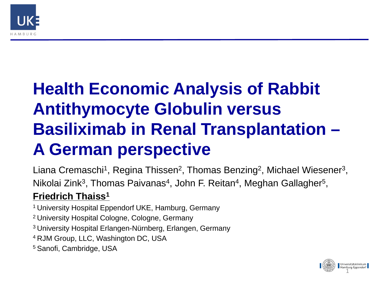

# **Health Economic Analysis of Rabbit Antithymocyte Globulin versus Basiliximab in Renal Transplantation – A German perspective**

Liana Cremaschi<sup>1</sup>, Regina Thissen<sup>2</sup>, Thomas Benzing<sup>2</sup>, Michael Wiesener<sup>3</sup>, Nikolai Zink<sup>3</sup>, Thomas Paivanas<sup>4</sup>, John F. Reitan<sup>4</sup>, Meghan Gallagher<sup>5</sup>,

### **Friedrich Thaiss1**

1 University Hospital Eppendorf UKE, Hamburg, Germany

- 2 University Hospital Cologne, Cologne, Germany
- 3 University Hospital Erlangen-Nürnberg, Erlangen, Germany
- 4 RJM Group, LLC, Washington DC, USA
- 5 Sanofi, Cambridge, USA

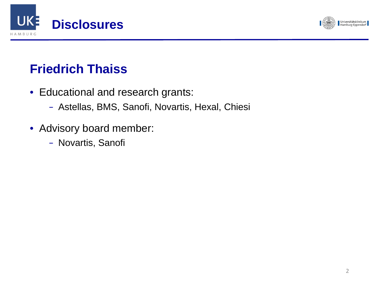



## **Friedrich Thaiss**

- Educational and research grants:
	- Astellas, BMS, Sanofi, Novartis, Hexal, Chiesi
- Advisory board member:
	- Novartis, Sanofi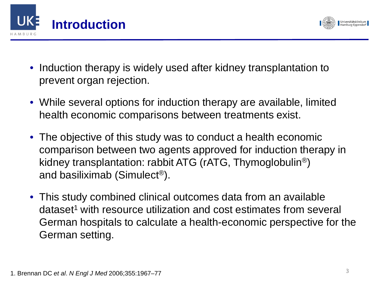



- Induction therapy is widely used after kidney transplantation to prevent organ rejection.
- While several options for induction therapy are available, limited health economic comparisons between treatments exist.
- The objective of this study was to conduct a health economic comparison between two agents approved for induction therapy in kidney transplantation: rabbit ATG (rATG, Thymoglobulin®) and basiliximab (Simulect®).
- This study combined clinical outcomes data from an available dataset<sup>1</sup> with resource utilization and cost estimates from several German hospitals to calculate a health-economic perspective for the German setting.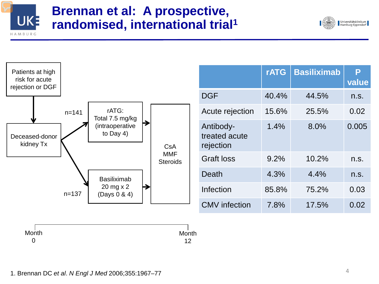

### **Brennan et al: A prospective, randomised, international trial1**



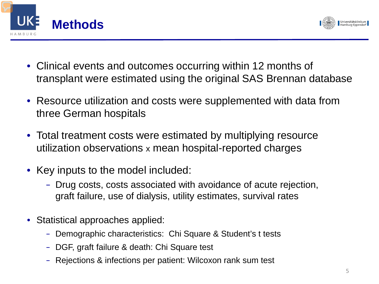



- Clinical events and outcomes occurring within 12 months of transplant were estimated using the original SAS Brennan database
- Resource utilization and costs were supplemented with data from three German hospitals
- Total treatment costs were estimated by multiplying resource utilization observations x mean hospital-reported charges
- Key inputs to the model included:
	- Drug costs, costs associated with avoidance of acute rejection, graft failure, use of dialysis, utility estimates, survival rates
- Statistical approaches applied:
	- Demographic characteristics: Chi Square & Student's t tests
	- DGF, graft failure & death: Chi Square test
	- Rejections & infections per patient: Wilcoxon rank sum test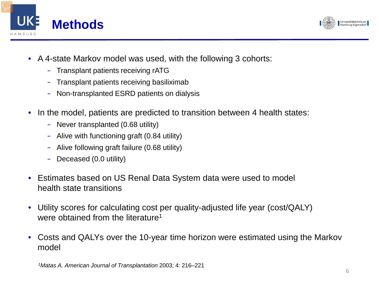



- A 4-state Markov model was used, with the following 3 cohorts:
	- Transplant patients receiving rATG
	- Transplant patients receiving basiliximab
	- Non-transplanted ESRD patients on dialysis
- In the model, patients are predicted to transition between 4 health states:
	- Never transplanted (0.68 utility)
	- Alive with functioning graft (0.84 utility)
	- Alive following graft failure (0.68 utility)
	- Deceased (0.0 utility)
- Estimates based on US Renal Data System data were used to model health state transitions
- Utility scores for calculating cost per quality-adjusted life year (cost/QALY) were obtained from the literature<sup>1</sup>
- Costs and QALYs over the 10-year time horizon were estimated using the Markov model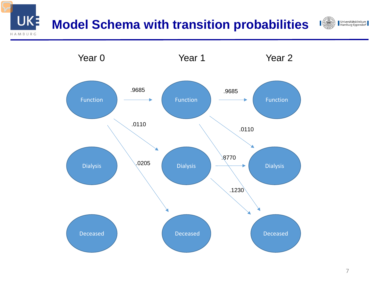## **Model Schema with transition probabilities**



UKE



Universitätsklinikum<br>Hamburg-Eppendorf

 $\blacksquare$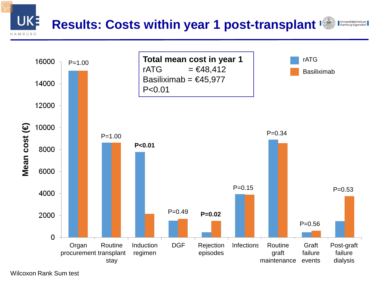#### **UKE Results: Costs within year 1 post-transplant** Universitätsklinikum<br>Hamburg-Eppendorf AMBURG



Wilcoxon Rank Sum test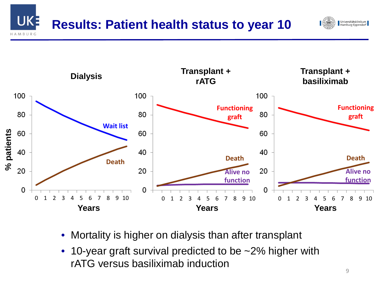



- Mortality is higher on dialysis than after transplant
- 10-year graft survival predicted to be ~2% higher with rATG versus basiliximab induction

Universitätsklinikum Hamburg-Eppendorf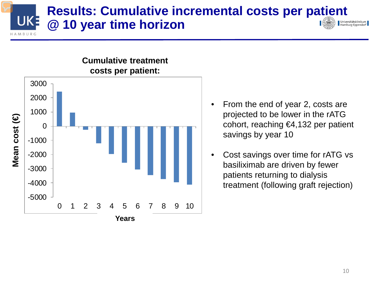#### **Results: Cumulative incremental costs per patient**  UKE **@ 10 year time horizon**  Universitätsklinikum Hamburg-Eppendorf  $MARIIR$



# **Cumulative treatment**

- From the end of year 2, costs are projected to be lower in the rATG cohort, reaching €4,132 per patient savings by year 10
- Cost savings over time for rATG vs basiliximab are driven by fewer patients returning to dialysis treatment (following graft rejection)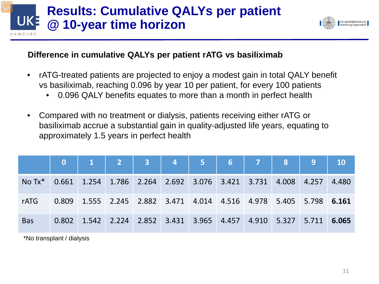### **Results: Cumulative QALYs per patient UKE @ 10-year time horizon**



### **Difference in cumulative QALYs per patient rATG vs basiliximab**

- rATG-treated patients are projected to enjoy a modest gain in total QALY benefit vs basiliximab, reaching 0.096 by year 10 per patient, for every 100 patients
	- 0.096 QALY benefits equates to more than a month in perfect health
- Compared with no treatment or dialysis, patients receiving either rATG or basiliximab accrue a substantial gain in quality-adjusted life years, equating to approximately 1.5 years in perfect health

|                 |                                                                         |  |  |  | 0 1 2 3 4 5 6 7 8 9 10                                                                  |       |
|-----------------|-------------------------------------------------------------------------|--|--|--|-----------------------------------------------------------------------------------------|-------|
| $No Tx^*$ 0.661 | $1.254$ $1.786$ $2.264$ $2.692$ $3.076$ $3.421$ $3.731$ $4.008$ $4.257$ |  |  |  |                                                                                         | 4.480 |
| <b>rATG</b>     |                                                                         |  |  |  | 0.809 1.555 2.245 2.882 3.471 4.014 4.516 4.978 5.405 5.798 6.161                       |       |
| <b>Bas</b>      |                                                                         |  |  |  | $0.802$   1.542   2.224   2.852   3.431   3.965   4.457   4.910   5.327   5.711   6.065 |       |

\*No transplant / dialysis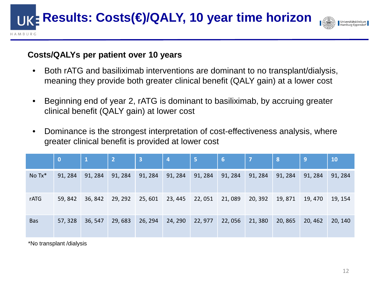**Results: Costs(€)/QALY, 10 year time horizon** 



#### **Costs/QALYs per patient over 10 years**

- Both rATG and basiliximab interventions are dominant to no transplant/dialysis, meaning they provide both greater clinical benefit (QALY gain) at a lower cost
- Beginning end of year 2, rATG is dominant to basiliximab, by accruing greater clinical benefit (QALY gain) at lower cost
- Dominance is the strongest interpretation of cost-effectiveness analysis, where greater clinical benefit is provided at lower cost

|            | $\bf{0}$ | $\mathbf{1}$ | $\overline{2}$ | $\overline{\mathbf{3}}$ | $\overline{a}$ | / 5/    | 6       | $\overline{7}$ | 8       | 19      | <b>10</b> |
|------------|----------|--------------|----------------|-------------------------|----------------|---------|---------|----------------|---------|---------|-----------|
| No Tx*     | 91, 284  | 91, 284      | 91, 284        | 91, 284                 | 91, 284        | 91, 284 | 91, 284 | 91, 284        | 91, 284 | 91, 284 | 91, 284   |
| rATG       | 59, 842  | 36, 842      | 29, 292        | 25, 601                 | 23, 445        | 22,051  | 21,089  | 20, 392        | 19,871  | 19, 470 | 19, 154   |
| <b>Bas</b> | 57, 328  | 36, 547      | 29,683         | 26, 294                 | 24, 290        | 22, 977 | 22,056  | 21,380         | 20,865  | 20, 462 | 20, 140   |

\*No transplant /dialysis

AMBURG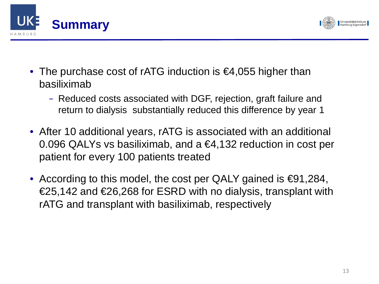



- The purchase cost of rATG induction is €4,055 higher than basiliximab
	- Reduced costs associated with DGF, rejection, graft failure and return to dialysis substantially reduced this difference by year 1
- After 10 additional years, rATG is associated with an additional 0.096 QALYs vs basiliximab, and a €4,132 reduction in cost per patient for every 100 patients treated
- According to this model, the cost per QALY gained is  $\epsilon$ 91,284, €25,142 and €26,268 for ESRD with no dialysis, transplant with rATG and transplant with basiliximab, respectively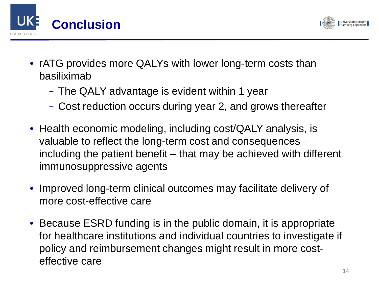



- rATG provides more QALYs with lower long-term costs than basiliximab
	- The QALY advantage is evident within 1 year
	- Cost reduction occurs during year 2, and grows thereafter
- Health economic modeling, including cost/QALY analysis, is valuable to reflect the long-term cost and consequences – including the patient benefit – that may be achieved with different immunosuppressive agents
- Improved long-term clinical outcomes may facilitate delivery of more cost-effective care
- Because ESRD funding is in the public domain, it is appropriate for healthcare institutions and individual countries to investigate if policy and reimbursement changes might result in more costeffective care